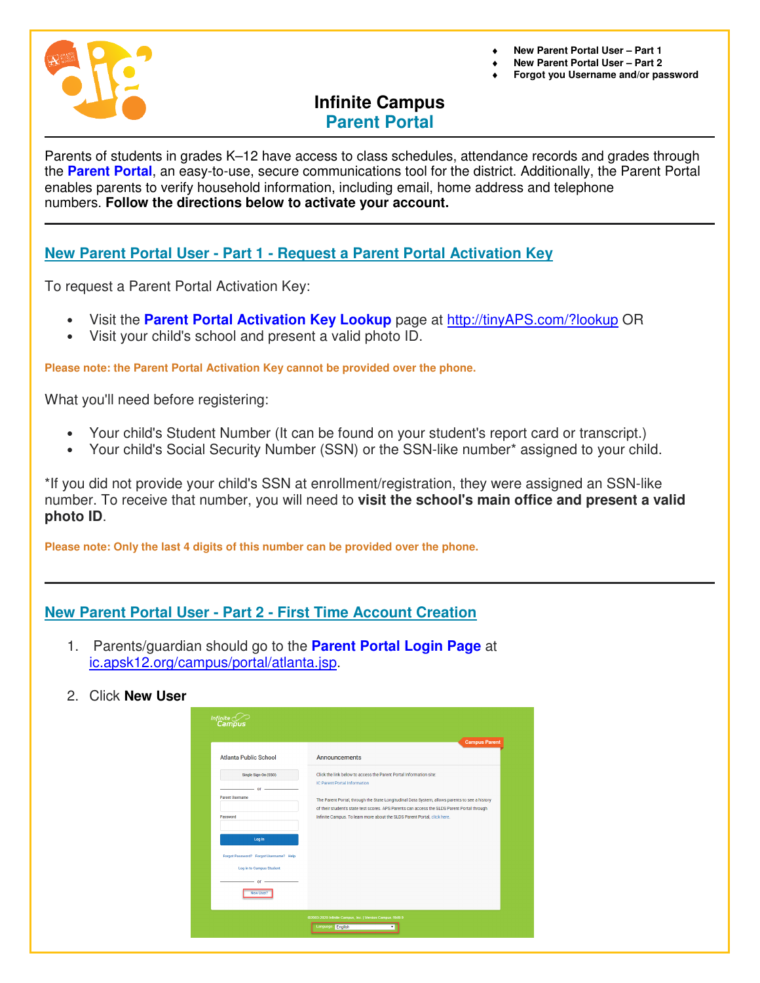

♦ **New Parent Portal User – Part 1** 

- **New Parent Portal User Part 2**
- ♦ **Forgot you Username and/or password**

# **Infinite Campus Parent Portal**

Parents of students in grades K–12 have access to class schedules, attendance records and grades through the **Parent Portal**, an easy-to-use, secure communications tool for the district. Additionally, the Parent Portal enables parents to verify household information, including email, home address and telephone numbers. **Follow the directions below to activate your account.**

## **New Parent Portal User - Part 1 - Request a Parent Portal Activation Key**

To request a Parent Portal Activation Key:

- Visit the **Parent Portal Activation Key Lookup** page at http://tinyAPS.com/?lookup OR
- Visit your child's school and present a valid photo ID.

**Please note: the Parent Portal Activation Key cannot be provided over the phone.** 

What you'll need before registering:

- Your child's Student Number (It can be found on your student's report card or transcript.)
- Your child's Social Security Number (SSN) or the SSN-like number\* assigned to your child.

\*If you did not provide your child's SSN at enrollment/registration, they were assigned an SSN-like number. To receive that number, you will need to **visit the school's main office and present a valid photo ID**.

**Please note: Only the last 4 digits of this number can be provided over the phone.** 

### **New Parent Portal User - Part 2 - First Time Account Creation**

- 1. Parents/guardian should go to the **Parent Portal Login Page** at ic.apsk12.org/campus/portal/atlanta.jsp.
- 2. Click **New User**

| Infinite<br>Campus                                                 |                                                                                                                                                                                               |
|--------------------------------------------------------------------|-----------------------------------------------------------------------------------------------------------------------------------------------------------------------------------------------|
| <b>Atlanta Public School</b>                                       | <b>Campus Parent</b><br><b>Announcements</b>                                                                                                                                                  |
| Single Sign-On (SSO)<br>or                                         | Click the link below to access the Parent Portal Information site:<br>IC Parent Portal Information                                                                                            |
| <b>Parent Username</b>                                             | The Parent Portal, through the State Longitudinal Data System, allows parents to see a history<br>of their student's state test scores. APS Parents can access the SLDS Parent Portal through |
| Password                                                           | Infinite Campus. To learn more about the SLDS Parent Portal, click here.                                                                                                                      |
| Log In                                                             |                                                                                                                                                                                               |
| Forgot Password? Forgot Username? Help<br>Log in to Campus Student |                                                                                                                                                                                               |
| or<br>New User?                                                    |                                                                                                                                                                                               |
|                                                                    | @2003-2020 Infinite Campus, Inc.   Version:Campus.1949.9<br>Language: English                                                                                                                 |